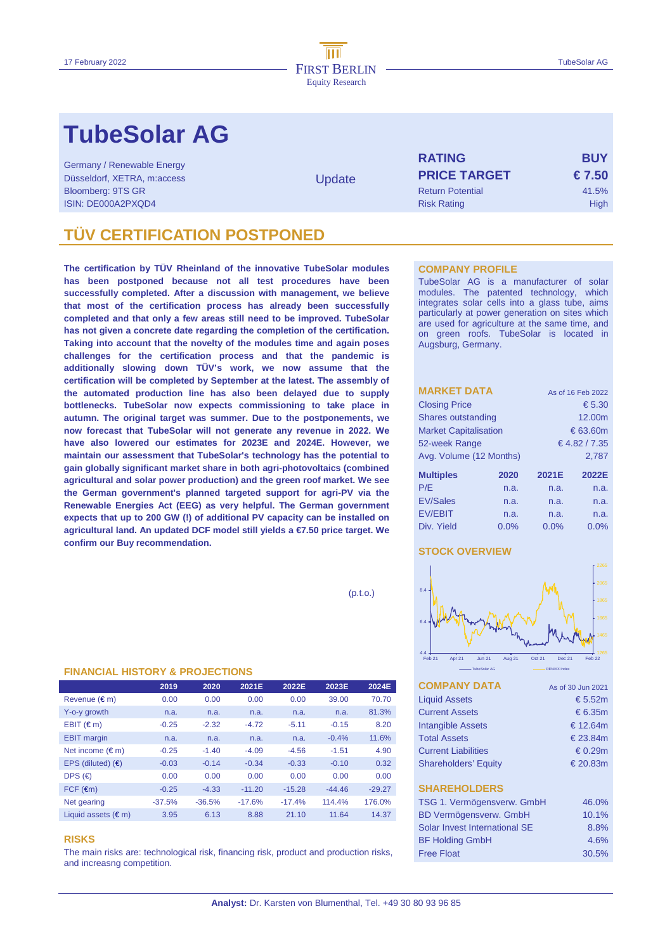# **TubeSolar AG**

Germany / Renewable Energy Düsseldorf, XETRA, m:access Bloomberg: 9TS GR ISIN: DE000A2PXQD4

**Update** 

| <b>RATING</b>           | <b>BUY</b> |  |  |  |  |
|-------------------------|------------|--|--|--|--|
| <b>PRICE TARGET</b>     | € 7.50     |  |  |  |  |
| <b>Return Potential</b> | 41.5%      |  |  |  |  |
| <b>Risk Rating</b>      | High       |  |  |  |  |

# **TUBE CERTIFICATION POSTPONED**

**The certification by TÜV Rheinland of the innovative TubeSolar modules has been postponed because not all test procedures have been successfully completed. After a discussion with management, we believe that most of the certification process has already been successfully completed and that only a few areas still need to be improved. TubeSolar has not given a concrete date regarding the completion of the certification. Taking into account that the novelty of the modules time and again poses challenges for the certification process and that the pandemic is additionally slowing down TÜV's work, we now assume that the certification will be completed by September at the latest. The assembly of the automated production line has also been delayed due to supply bottlenecks. TubeSolar now expects commissioning to take place in autumn. The original target was summer. Due to the postponements, we now forecast that TubeSolar will not generate any revenue in 2022. We have also lowered our estimates for 2023E and 2024E. However, we maintain our assessment that TubeSolar's technology has the potential to gain globally significant market share in both agri-photovoltaics (combined agricultural and solar power production) and the green roof market. We see the German government's planned targeted support for agri-PV via the Renewable Energies Act (EEG) as very helpful. The German government expects that up to 200 GW (!) of additional PV capacity can be installed on agricultural land. An updated DCF model still yields a €7.50 price target. We confirm our Buy recommendation.** 

 $(p.t.o.)$ 

### **FINANCIAL HISTORY & PROJECTIONS**

|                              | 2019     | 2020     | 2021E    | 2022E    | 2023E    | 2024E    |
|------------------------------|----------|----------|----------|----------|----------|----------|
| Revenue (€m)                 | 0.00     | 0.00     | 0.00     | 0.00     | 39.00    | 70.70    |
| Y-o-y growth                 | n.a.     | n.a.     | n.a.     | n.a.     | n.a.     | 81.3%    |
| $EBIT$ ( $\in$ m)            | $-0.25$  | $-2.32$  | $-4.72$  | $-5.11$  | $-0.15$  | 8.20     |
| <b>EBIT</b> margin           | n.a.     | n.a.     | n.a.     | n.a.     | $-0.4%$  | 11.6%    |
| Net income $(\epsilon m)$    | $-0.25$  | $-1.40$  | $-4.09$  | $-4.56$  | $-1.51$  | 4.90     |
| EPS (diluted) $(4)$          | $-0.03$  | $-0.14$  | $-0.34$  | $-0.33$  | $-0.10$  | 0.32     |
| DPS $(\epsilon)$             | 0.00     | 0.00     | 0.00     | 0.00     | 0.00     | 0.00     |
| $FCF$ ( $\epsilon$ m)        | $-0.25$  | $-4.33$  | $-11.20$ | $-15.28$ | $-44.46$ | $-29.27$ |
| Net gearing                  | $-37.5%$ | $-36.5%$ | $-17.6%$ | $-17.4%$ | 114.4%   | 176.0%   |
| Liquid assets $(\epsilon m)$ | 3.95     | 6.13     | 8.88     | 21.10    | 11.64    | 14.37    |

### **RISKS**

The main risks are: technological risk, financing risk, product and production risks, and increasng competition.

### **COMPANY PROFILE**

TubeSolar AG is a manufacturer of solar modules. The patented technology, which integrates solar cells into a glass tube, aims particularly at power generation on sites which are used for agriculture at the same time, and on green roofs. TubeSolar is located in Augsburg, Germany.

| <b>MARKET DATA</b>           | As of 16 Feb 2022 |                   |        |  |  |  |
|------------------------------|-------------------|-------------------|--------|--|--|--|
| <b>Closing Price</b>         | € 5.30            |                   |        |  |  |  |
| Shares outstanding           |                   |                   | 12.00m |  |  |  |
| <b>Market Capitalisation</b> |                   | $\epsilon$ 63.60m |        |  |  |  |
| 52-week Range                | € 4.82 / 7.35     |                   |        |  |  |  |
| Avg. Volume (12 Months)      |                   | 2,787             |        |  |  |  |
| <b>Multiples</b>             | 2020              | 2021E             | 2022E  |  |  |  |
| P/E                          | n.a.              | n.a.              | n.a.   |  |  |  |
| <b>EV/Sales</b>              | n.a.              | n.a.              | n.a.   |  |  |  |
| <b>EV/EBIT</b>               | n.a.              | n.a.              | n.a.   |  |  |  |
| Div. Yield                   | 0.0%              | 0.0%              | 0.0%   |  |  |  |

## **STOCK OVERVIEW**



| <b>COMPANY DATA</b>         | As of 30 Jun 2021 |
|-----------------------------|-------------------|
| <b>Liquid Assets</b>        | € 5.52m           |
| <b>Current Assets</b>       | $\epsilon$ 6.35m  |
| <b>Intangible Assets</b>    | € 12.64m          |
| <b>Total Assets</b>         | € 23.84 $m$       |
| <b>Current Liabilities</b>  | $\epsilon$ 0.29m  |
| <b>Shareholders' Equity</b> | € 20.83 $m$       |
|                             |                   |
| <b>SHAREHOLDERS</b>         |                   |
| TCC 1 Vormögeneverw CmhH    | $AC$ $O$          |

| TSG 1. Vermögensverw. GmbH    | 46.0% |
|-------------------------------|-------|
| <b>BD Vermögensverw. GmbH</b> | 10.1% |
| Solar Invest International SE | 8.8%  |
| <b>BF Holding GmbH</b>        | 4.6%  |
| <b>Free Float</b>             | 30.5% |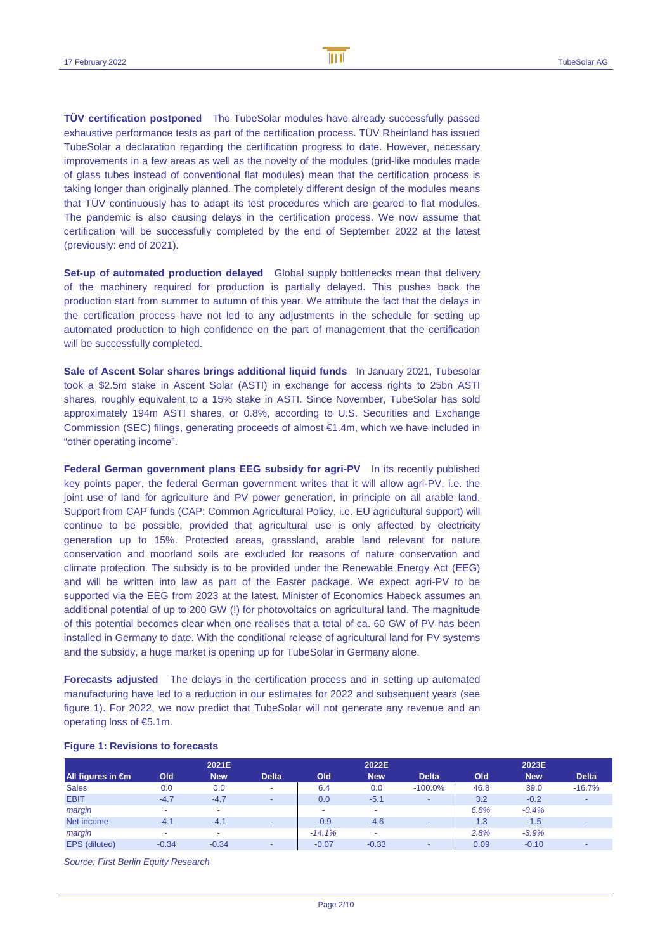**TÜV certification postponed** The TubeSolar modules have already successfully passed exhaustive performance tests as part of the certification process. TÜV Rheinland has issued TubeSolar a declaration regarding the certification progress to date. However, necessary improvements in a few areas as well as the novelty of the modules (grid-like modules made of glass tubes instead of conventional flat modules) mean that the certification process is taking longer than originally planned. The completely different design of the modules means that TÜV continuously has to adapt its test procedures which are geared to flat modules. The pandemic is also causing delays in the certification process. We now assume that certification will be successfully completed by the end of September 2022 at the latest (previously: end of 2021).

**Set-up of automated production delayed** Global supply bottlenecks mean that delivery of the machinery required for production is partially delayed. This pushes back the production start from summer to autumn of this year. We attribute the fact that the delays in the certification process have not led to any adjustments in the schedule for setting up automated production to high confidence on the part of management that the certification will be successfully completed.

**Sale of Ascent Solar shares brings additional liquid funds** In January 2021, Tubesolar took a \$2.5m stake in Ascent Solar (ASTI) in exchange for access rights to 25bn ASTI shares, roughly equivalent to a 15% stake in ASTI. Since November, TubeSolar has sold approximately 194m ASTI shares, or 0.8%, according to U.S. Securities and Exchange Commission (SEC) filings, generating proceeds of almost €1.4m, which we have included in "other operating income".

**Federal German government plans EEG subsidy for agri-PV** In its recently published key points paper, the federal German government writes that it will allow agri-PV, i.e. the joint use of land for agriculture and PV power generation, in principle on all arable land. Support from CAP funds (CAP: Common Agricultural Policy, i.e. EU agricultural support) will continue to be possible, provided that agricultural use is only affected by electricity generation up to 15%. Protected areas, grassland, arable land relevant for nature conservation and moorland soils are excluded for reasons of nature conservation and climate protection. The subsidy is to be provided under the Renewable Energy Act (EEG) and will be written into law as part of the Easter package. We expect agri-PV to be supported via the EEG from 2023 at the latest. Minister of Economics Habeck assumes an additional potential of up to 200 GW (!) for photovoltaics on agricultural land. The magnitude of this potential becomes clear when one realises that a total of ca. 60 GW of PV has been installed in Germany to date. With the conditional release of agricultural land for PV systems and the subsidy, a huge market is opening up for TubeSolar in Germany alone.

**Forecasts adjusted** The delays in the certification process and in setting up automated manufacturing have led to a reduction in our estimates for 2022 and subsequent years (see figure 1). For 2022, we now predict that TubeSolar will not generate any revenue and an operating loss of €5.1m.

|                             |                          | 2021E      |                          |          | 2022E      |                          |      | 2023E      |              |
|-----------------------------|--------------------------|------------|--------------------------|----------|------------|--------------------------|------|------------|--------------|
| All figures in $\epsilon$ m | Old                      | <b>New</b> | <b>Delta</b>             | Old      | <b>New</b> | <b>Delta</b>             | Old  | <b>New</b> | <b>Delta</b> |
| <b>Sales</b>                | 0.0                      | 0.0        | $\sim$                   | 6.4      | 0.0        | $-100.0\%$               | 46.8 | 39.0       | $-16.7%$     |
| <b>EBIT</b>                 | $-4.7$                   | $-4.7$     | $\sim$                   | 0.0      | $-5.1$     | $\overline{\phantom{0}}$ | 3.2  | $-0.2$     |              |
| margin                      | $\overline{\phantom{a}}$ |            |                          | $\sim$   | ٠          |                          | 6.8% | $-0.4%$    |              |
| Net income                  | $-4.1$                   | $-4.1$     | $\overline{\phantom{a}}$ | $-0.9$   | $-4.6$     | . .                      | 1.3  | $-1.5$     |              |
| margin                      | $\overline{\phantom{a}}$ |            |                          | $-14.1%$ | ٠          |                          | 2.8% | $-3.9%$    |              |
| EPS (diluted)               | $-0.34$                  | $-0.34$    | $\overline{\phantom{a}}$ | $-0.07$  | $-0.33$    | $\overline{\phantom{0}}$ | 0.09 | $-0.10$    |              |

### **Figure 1: Revisions to forecasts**

Source: First Berlin Equity Research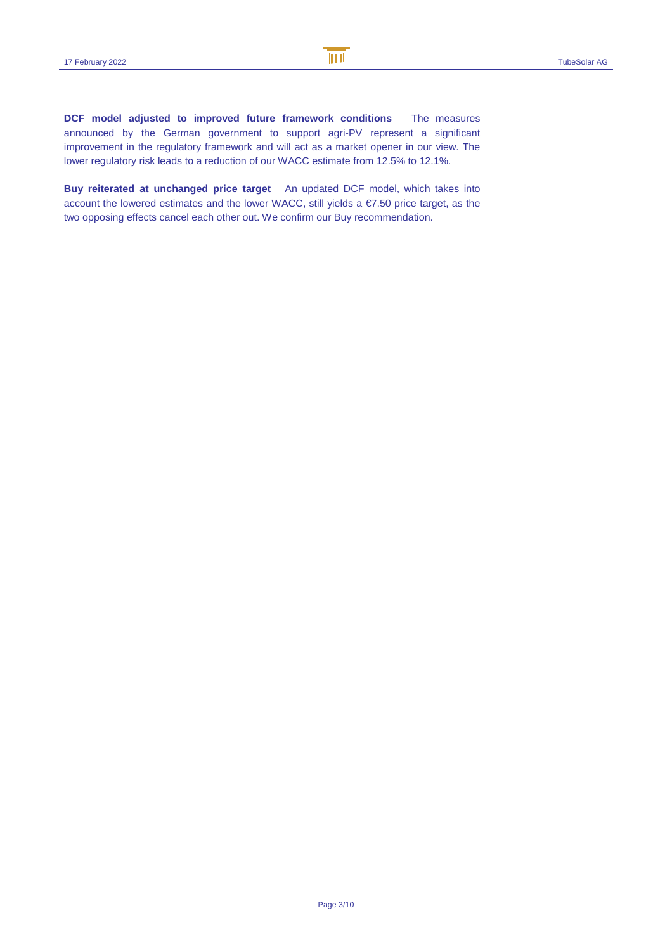**DCF model adjusted to improved future framework conditions** The measures announced by the German government to support agri-PV represent a significant improvement in the regulatory framework and will act as a market opener in our view. The lower regulatory risk leads to a reduction of our WACC estimate from 12.5% to 12.1%.

**Buy reiterated at unchanged price target** An updated DCF model, which takes into account the lowered estimates and the lower WACC, still yields a €7.50 price target, as the two opposing effects cancel each other out. We confirm our Buy recommendation.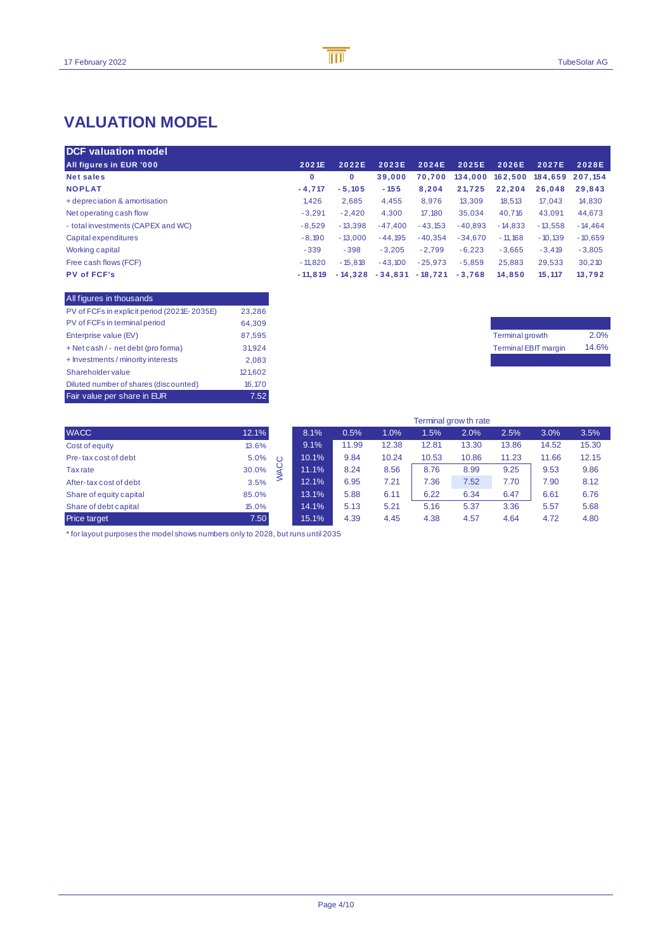# **VALUATION MODEL**

| <b>DCF</b> valuation model         |           |           |           |           |           |           |           |           |
|------------------------------------|-----------|-----------|-----------|-----------|-----------|-----------|-----------|-----------|
| <b>All figures in EUR '000</b>     | 2021E     | 2022E     | 2023E     | 2024E     | 2025E     | 2026E     | 2027E     | 2028E     |
| <b>Net sales</b>                   | 0         | 0         | 39,000    | 70.700    | 134,000   | 162.500   | 184.659   | 207.154   |
| <b>NOPLAT</b>                      | $-4.717$  | $-5.105$  | $-155$    | 8.204     | 21.725    | 22.204    | 26.048    | 29.843    |
| + depreciation & amortisation      | 1.426     | 2,685     | 4,455     | 8,976     | 13.309    | 18,513    | 17.043    | 14,830    |
| Net operating cash flow            | $-3.291$  | $-2.420$  | 4,300     | 17.180    | 35,034    | 40.716    | 43.091    | 44,673    |
| - total investments (CAPEX and WC) | $-8.529$  | $-13.398$ | $-47.400$ | $-43.153$ | $-40.893$ | $-14.833$ | $-13.558$ | $-14.464$ |
| Capital expenditures               | $-8.190$  | $-13.000$ | $-44.195$ | $-40.354$ | $-34.670$ | $-11.168$ | $-10.139$ | $-10.659$ |
| Working capital                    | $-339$    | $-398$    | $-3.205$  | $-2.799$  | $-6.223$  | $-3.665$  | $-3.419$  | $-3,805$  |
| Free cash flows (FCF)              | $-11.820$ | $-15.818$ | $-43.100$ | $-25.973$ | $-5.859$  | 25.883    | 29.533    | 30,210    |
| <b>PV of FCF's</b>                 | $-11.819$ | $-14.328$ | $-34.831$ | $-18.721$ | $-3.768$  | 14.850    | 15.117    | 13.792    |

| All figures in thousands                    |         |
|---------------------------------------------|---------|
| PV of FCFs in explicit period (2021E-2035E) | 23,286  |
| PV of FCFs in terminal period               | 64,309  |
| Enterprise value (EV)                       | 87.595  |
| + Net cash / - net debt (pro forma)         | 31.924  |
| + Investments / minority interests          | 2.083   |
| <b>Shareholder value</b>                    | 121,602 |
| Diluted number of shares (discounted)       | 16.170  |
| Fair value per share in EUR                 | 7.52    |

| Terminal growth             | 2.0%  |
|-----------------------------|-------|
| <b>Terminal EBIT margin</b> | 14.6% |
|                             |       |

|                         |                 | Terminal grow th rate |       |       |       |       |       |       |       |
|-------------------------|-----------------|-----------------------|-------|-------|-------|-------|-------|-------|-------|
| <b>WACC</b>             | 12.1%           | 8.1%                  | 0.5%  | 1.0%  | 1.5%  | 2.0%  | 2.5%  | 3.0%  | 3.5%  |
| Cost of equity          | 13.6%           | 9.1%                  | 11.99 | 12.38 | 12.81 | 13.30 | 13.86 | 14.52 | 15.30 |
| Pre-tax cost of debt    | 5.0%<br>$\circ$ | 10.1%                 | 9.84  | 10.24 | 10.53 | 10.86 | 11.23 | 11.66 | 12.15 |
| Tax rate                | C<br>30.0%      | 11.1%                 | 8.24  | 8.56  | 8.76  | 8.99  | 9.25  | 9.53  | 9.86  |
| After-tax cost of debt  | ≤<br>3.5%       | 12.1%                 | 6.95  | 7.21  | 7.36  | 7.52  | 7.70  | 7.90  | 8.12  |
| Share of equity capital | 85.0%           | 13.1%                 | 5.88  | 6.11  | 6.22  | 6.34  | 6.47  | 6.61  | 6.76  |
| Share of debt capital   | 15.0%           | 14.1%                 | 5.13  | 5.21  | 5.16  | 5.37  | 3.36  | 5.57  | 5.68  |
| Price target            | 7.50            | 15.1%                 | 4.39  | 4.45  | 4.38  | 4.57  | 4.64  | 4.72  | 4.80  |

 $*$  for layout purposes the model shows numbers only to 2028, but runs until 2035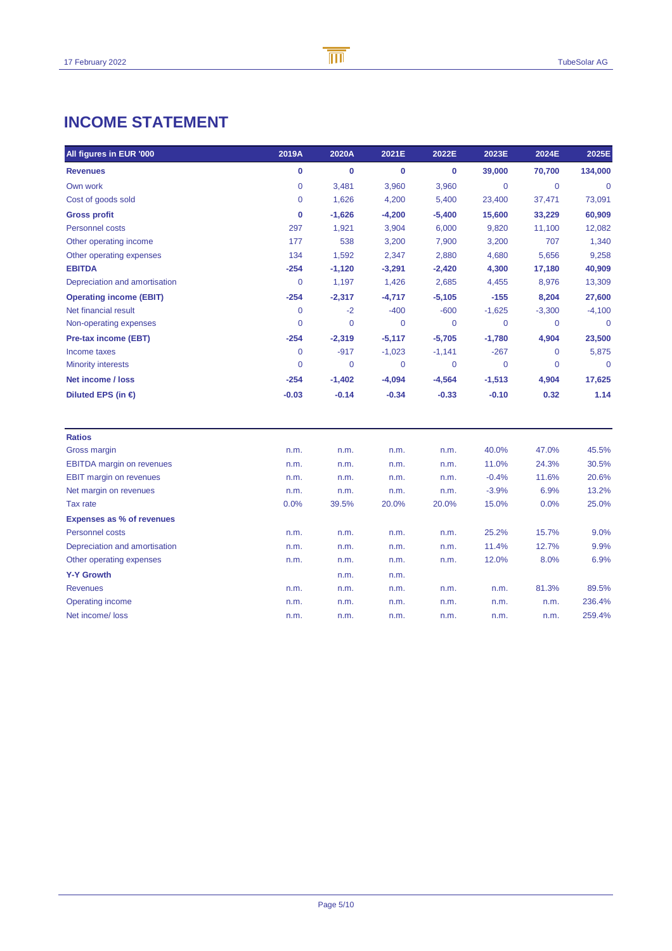# **INCOME STATEMENT**

| All figures in EUR '000          | 2019A          | 2020A          | 2021E    | 2022E       | 2023E       | 2024E       | 2025E        |
|----------------------------------|----------------|----------------|----------|-------------|-------------|-------------|--------------|
| <b>Revenues</b>                  | 0              | $\bf{0}$       | 0        | 0           | 39,000      | 70,700      | 134,000      |
| Own work                         | $\overline{0}$ | 3,481          | 3,960    | 3,960       | 0           | $\mathbf 0$ | $\Omega$     |
| Cost of goods sold               | $\mathbf 0$    | 1,626          | 4,200    | 5,400       | 23,400      | 37,471      | 73,091       |
| <b>Gross profit</b>              | 0              | $-1,626$       | $-4,200$ | $-5,400$    | 15,600      | 33,229      | 60,909       |
| <b>Personnel costs</b>           | 297            | 1,921          | 3,904    | 6,000       | 9,820       | 11,100      | 12,082       |
| Other operating income           | 177            | 538            | 3,200    | 7,900       | 3,200       | 707         | 1,340        |
| Other operating expenses         | 134            | 1,592          | 2,347    | 2,880       | 4,680       | 5,656       | 9,258        |
| <b>EBITDA</b>                    | $-254$         | $-1,120$       | $-3,291$ | $-2,420$    | 4,300       | 17,180      | 40,909       |
| Depreciation and amortisation    | $\overline{0}$ | 1,197          | 1,426    | 2,685       | 4,455       | 8,976       | 13,309       |
| <b>Operating income (EBIT)</b>   | $-254$         | $-2,317$       | $-4,717$ | $-5,105$    | $-155$      | 8,204       | 27,600       |
| Net financial result             | 0              | $-2$           | $-400$   | $-600$      | $-1,625$    | $-3,300$    | $-4,100$     |
| Non-operating expenses           | $\overline{0}$ | $\overline{0}$ | 0        | $\mathbf 0$ | $\mathbf 0$ | $\mathbf 0$ | $\mathbf{0}$ |
| <b>Pre-tax income (EBT)</b>      | $-254$         | $-2,319$       | $-5,117$ | $-5,705$    | $-1,780$    | 4,904       | 23,500       |
| Income taxes                     | $\mathbf 0$    | $-917$         | $-1,023$ | $-1,141$    | $-267$      | 0           | 5,875        |
| <b>Minority interests</b>        | $\overline{0}$ | 0              | 0        | 0           | $\mathbf 0$ | 0           | $\mathbf 0$  |
| Net income / loss                | $-254$         | $-1,402$       | $-4,094$ | $-4,564$    | $-1,513$    | 4,904       | 17,625       |
| Diluted EPS (in $\epsilon$ )     | $-0.03$        | $-0.14$        | $-0.34$  | $-0.33$     | $-0.10$     | 0.32        | 1.14         |
| <b>Ratios</b>                    |                |                |          |             |             |             |              |
| Gross margin                     | n.m.           | n.m.           | n.m.     | n.m.        | 40.0%       | 47.0%       | 45.5%        |
| <b>EBITDA</b> margin on revenues | n.m.           | n.m.           | n.m.     | n.m.        | 11.0%       | 24.3%       | 30.5%        |
| <b>EBIT margin on revenues</b>   | n.m.           | n.m.           | n.m.     | n.m.        | $-0.4%$     | 11.6%       | 20.6%        |
| Net margin on revenues           | n.m.           | n.m.           | n.m.     | n.m.        | $-3.9%$     | 6.9%        | 13.2%        |
| Tax rate                         | 0.0%           | 39.5%          | 20.0%    | 20.0%       | 15.0%       | 0.0%        | 25.0%        |
| <b>Expenses as % of revenues</b> |                |                |          |             |             |             |              |
| Personnel costs                  | n.m.           | n.m.           | n.m.     | n.m.        | 25.2%       | 15.7%       | 9.0%         |
| Depreciation and amortisation    | n.m.           | n.m.           | n.m.     | n.m.        | 11.4%       | 12.7%       | 9.9%         |
| Other operating expenses         | n.m.           | n.m.           | n.m.     | n.m.        | 12.0%       | 8.0%        | 6.9%         |
| <b>Y-Y Growth</b>                |                | n.m.           | n.m.     |             |             |             |              |
| <b>Revenues</b>                  | n.m.           | n.m.           | n.m.     | n.m.        | n.m.        | 81.3%       | 89.5%        |
| <b>Operating income</b>          | n.m.           | n.m.           | n.m.     | n.m.        | n.m.        | n.m.        | 236.4%       |
| Net income/loss                  | n.m.           | n.m.           | n.m.     | n.m.        | n.m.        | n.m.        | 259.4%       |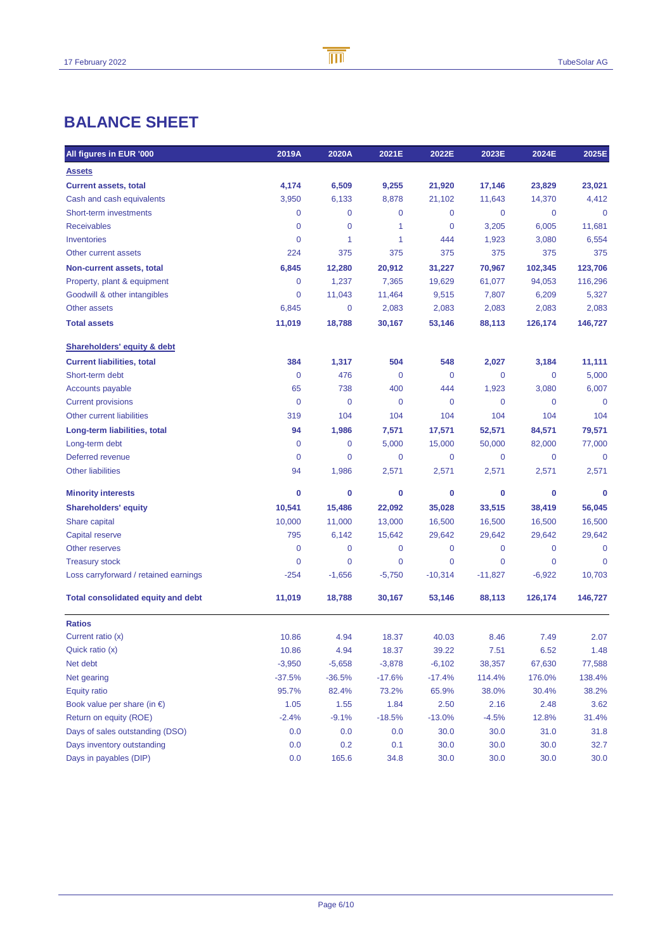# **BALANCE SHEET**

| All figures in EUR '000                   | 2019A       | 2020A          | 2021E       | 2022E     | 2023E     | 2024E       | 2025E        |
|-------------------------------------------|-------------|----------------|-------------|-----------|-----------|-------------|--------------|
| <b>Assets</b>                             |             |                |             |           |           |             |              |
| <b>Current assets, total</b>              | 4,174       | 6,509          | 9,255       | 21,920    | 17,146    | 23,829      | 23,021       |
| Cash and cash equivalents                 | 3,950       | 6,133          | 8,878       | 21,102    | 11,643    | 14,370      | 4,412        |
| Short-term investments                    | 0           | 0              | 0           | 0         | 0         | 0           | $\mathbf{0}$ |
| <b>Receivables</b>                        | 0           | 0              | 1           | 0         | 3,205     | 6,005       | 11,681       |
| Inventories                               | 0           | 1              | 1           | 444       | 1,923     | 3,080       | 6,554        |
| Other current assets                      | 224         | 375            | 375         | 375       | 375       | 375         | 375          |
| Non-current assets, total                 | 6,845       | 12,280         | 20,912      | 31,227    | 70,967    | 102,345     | 123,706      |
| Property, plant & equipment               | 0           | 1,237          | 7,365       | 19,629    | 61,077    | 94,053      | 116,296      |
| Goodwill & other intangibles              | 0           | 11,043         | 11,464      | 9,515     | 7,807     | 6,209       | 5,327        |
| <b>Other assets</b>                       | 6,845       | 0              | 2,083       | 2,083     | 2,083     | 2,083       | 2,083        |
| <b>Total assets</b>                       | 11,019      | 18,788         | 30,167      | 53,146    | 88,113    | 126,174     | 146,727      |
| <b>Shareholders' equity &amp; debt</b>    |             |                |             |           |           |             |              |
| <b>Current liabilities, total</b>         | 384         | 1,317          | 504         | 548       | 2,027     | 3,184       | 11,111       |
| Short-term debt                           | $\mathbf 0$ | 476            | $\mathbf 0$ | 0         | 0         | 0           | 5,000        |
| <b>Accounts payable</b>                   | 65          | 738            | 400         | 444       | 1,923     | 3,080       | 6,007        |
| <b>Current provisions</b>                 | 0           | 0              | $\mathbf 0$ | 0         | 0         | 0           | $\mathbf 0$  |
| Other current liabilities                 | 319         | 104            | 104         | 104       | 104       | 104         | 104          |
| Long-term liabilities, total              | 94          | 1,986          | 7,571       | 17,571    | 52,571    | 84,571      | 79,571       |
| Long-term debt                            | 0           | 0              | 5,000       | 15,000    | 50,000    | 82,000      | 77,000       |
| Deferred revenue                          | $\mathbf 0$ | 0              | 0           | 0         | 0         | 0           | $\mathbf 0$  |
| <b>Other liabilities</b>                  | 94          | 1,986          | 2,571       | 2,571     | 2,571     | 2,571       | 2,571        |
| <b>Minority interests</b>                 | 0           | 0              | 0           | 0         | 0         | 0           | 0            |
| <b>Shareholders' equity</b>               | 10,541      | 15,486         | 22,092      | 35,028    | 33,515    | 38,419      | 56,045       |
| Share capital                             | 10,000      | 11,000         | 13,000      | 16,500    | 16,500    | 16,500      | 16,500       |
| Capital reserve                           | 795         | 6,142          | 15,642      | 29,642    | 29,642    | 29,642      | 29,642       |
| Other reserves                            | 0           | 0              | $\mathbf 0$ | 0         | 0         | 0           | $\mathbf 0$  |
| <b>Treasury stock</b>                     | 0           | $\overline{0}$ | 0           | 0         | 0         | $\mathbf 0$ | $\mathbf 0$  |
| Loss carryforward / retained earnings     | -254        | $-1,656$       | $-5,750$    | $-10,314$ | $-11,827$ | $-6,922$    | 10,703       |
| <b>Total consolidated equity and debt</b> | 11,019      | 18,788         | 30,167      | 53,146    | 88,113    | 126,174     | 146,727      |
| <b>Ratios</b>                             |             |                |             |           |           |             |              |
| Current ratio (x)                         | 10.86       | 4.94           | 18.37       | 40.03     | 8.46      | 7.49        | 2.07         |
| Quick ratio (x)                           | 10.86       | 4.94           | 18.37       | 39.22     | 7.51      | 6.52        | 1.48         |
| Net debt                                  | $-3,950$    | $-5,658$       | $-3,878$    | $-6,102$  | 38,357    | 67,630      | 77,588       |
| Net gearing                               | $-37.5%$    | $-36.5%$       | $-17.6%$    | $-17.4%$  | 114.4%    | 176.0%      | 138.4%       |
| <b>Equity ratio</b>                       | 95.7%       | 82.4%          | 73.2%       | 65.9%     | 38.0%     | 30.4%       | 38.2%        |
| Book value per share (in $\epsilon$ )     | 1.05        | 1.55           | 1.84        | 2.50      | 2.16      | 2.48        | 3.62         |
| Return on equity (ROE)                    | $-2.4%$     | $-9.1%$        | $-18.5%$    | $-13.0%$  | $-4.5%$   | 12.8%       | 31.4%        |
| Days of sales outstanding (DSO)           | 0.0         | 0.0            | 0.0         | 30.0      | 30.0      | 31.0        | 31.8         |
| Days inventory outstanding                | 0.0         | 0.2            | 0.1         | 30.0      | 30.0      | 30.0        | 32.7         |
| Days in payables (DIP)                    | 0.0         | 165.6          | 34.8        | 30.0      | 30.0      | 30.0        | 30.0         |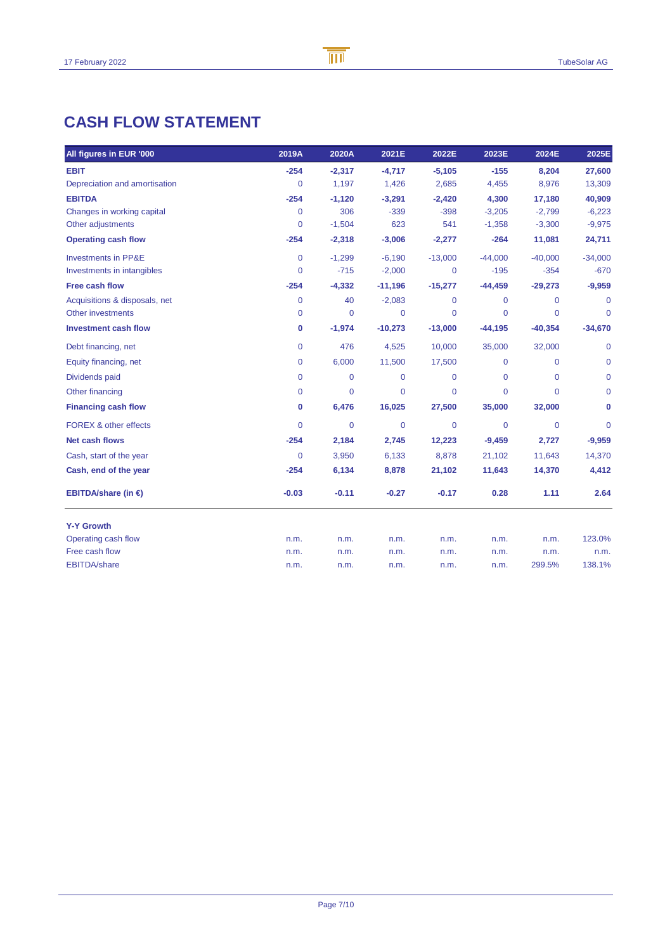# **CASH FLOW STATEMENT**

| All figures in EUR '000        | 2019A          | 2020A       | 2021E       | 2022E       | 2023E          | 2024E       | 2025E          |
|--------------------------------|----------------|-------------|-------------|-------------|----------------|-------------|----------------|
| <b>EBIT</b>                    | $-254$         | $-2,317$    | $-4,717$    | $-5,105$    | $-155$         | 8,204       | 27,600         |
| Depreciation and amortisation  | 0              | 1.197       | 1,426       | 2,685       | 4,455          | 8,976       | 13,309         |
| <b>EBITDA</b>                  | $-254$         | $-1,120$    | $-3,291$    | $-2,420$    | 4,300          | 17,180      | 40,909         |
| Changes in working capital     | 0              | 306         | $-339$      | $-398$      | $-3,205$       | $-2,799$    | $-6,223$       |
| Other adjustments              | 0              | $-1,504$    | 623         | 541         | $-1,358$       | $-3,300$    | $-9,975$       |
| <b>Operating cash flow</b>     | $-254$         | $-2,318$    | $-3,006$    | $-2,277$    | $-264$         | 11,081      | 24,711         |
| <b>Investments in PP&amp;E</b> | 0              | $-1,299$    | $-6,190$    | $-13,000$   | $-44,000$      | $-40,000$   | $-34,000$      |
| Investments in intangibles     | $\Omega$       | $-715$      | $-2,000$    | $\mathbf 0$ | $-195$         | $-354$      | $-670$         |
| Free cash flow                 | $-254$         | $-4,332$    | $-11,196$   | $-15,277$   | $-44,459$      | $-29,273$   | $-9,959$       |
| Acquisitions & disposals, net  | 0              | 40          | $-2,083$    | 0           | $\mathbf 0$    | 0           | 0              |
| Other investments              | 0              | $\mathbf 0$ | 0           | $\mathbf 0$ | $\overline{0}$ | 0           | $\mathbf 0$    |
| <b>Investment cash flow</b>    | 0              | $-1,974$    | $-10,273$   | $-13,000$   | $-44,195$      | $-40,354$   | $-34,670$      |
| Debt financing, net            | 0              | 476         | 4,525       | 10,000      | 35,000         | 32,000      | $\mathbf 0$    |
| Equity financing, net          | 0              | 6,000       | 11,500      | 17,500      | $\mathbf 0$    | $\mathbf 0$ | $\mathbf 0$    |
| Dividends paid                 | 0              | $\mathbf 0$ | $\mathbf 0$ | $\Omega$    | $\mathbf 0$    | $\Omega$    | $\mathbf 0$    |
| Other financing                | 0              | $\mathbf 0$ | 0           | 0           | $\overline{0}$ | $\Omega$    | $\mathbf 0$    |
| <b>Financing cash flow</b>     | 0              | 6,476       | 16,025      | 27,500      | 35,000         | 32,000      | 0              |
| FOREX & other effects          | 0              | $\mathbf 0$ | 0           | $\mathbf 0$ | $\overline{0}$ | $\mathbf 0$ | $\overline{0}$ |
| <b>Net cash flows</b>          | $-254$         | 2,184       | 2,745       | 12,223      | $-9,459$       | 2,727       | $-9,959$       |
| Cash, start of the year        | $\overline{0}$ | 3,950       | 6,133       | 8,878       | 21,102         | 11,643      | 14,370         |
| Cash, end of the year          | $-254$         | 6,134       | 8,878       | 21,102      | 11,643         | 14,370      | 4,412          |
| EBITDA/share (in $\epsilon$ )  | $-0.03$        | $-0.11$     | $-0.27$     | $-0.17$     | 0.28           | 1.11        | 2.64           |
| <b>Y-Y Growth</b>              |                |             |             |             |                |             |                |
| Operating cash flow            | n.m.           | n.m.        | n.m.        | n.m.        | n.m.           | n.m.        | 123.0%         |
| Free cash flow                 | n.m.           | n.m.        | n.m.        | n.m.        | n.m.           | n.m.        | n.m.           |
| <b>EBITDA/share</b>            | n.m.           | n.m.        | n.m.        | n.m.        | n.m.           | 299.5%      | 138.1%         |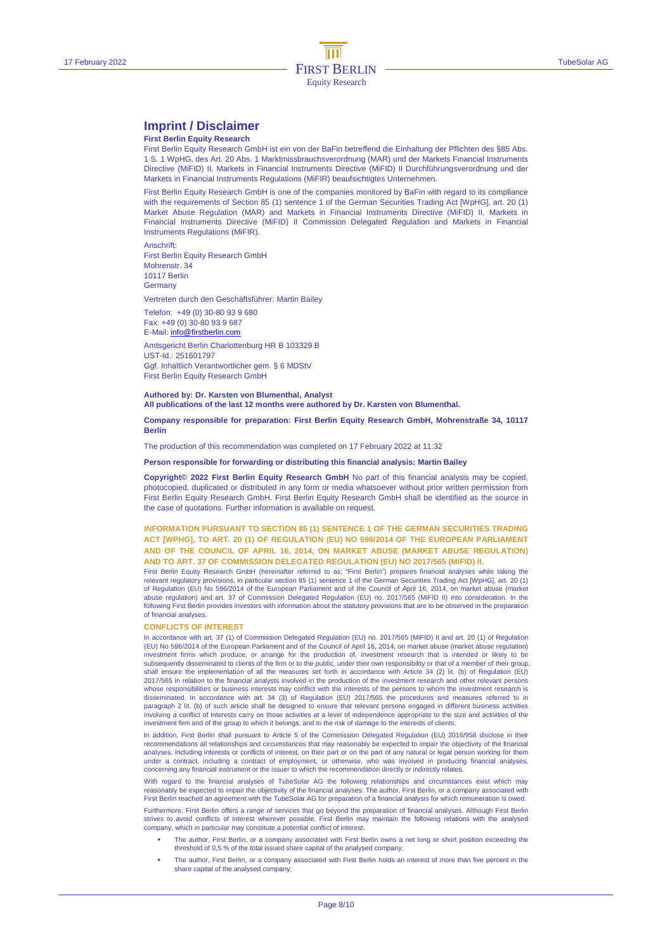### **Imprint / Disclaimer**

#### **First Berlin Equity Research**

First Berlin Equity Research GmbH ist ein von der BaFin betreffend die Einhaltung der Pflichten des §85 Abs. 1 S. 1 WpHG, des Art. 20 Abs. 1 Marktmissbrauchsverordnung (MAR) und der Markets Financial Instruments Directive (MiFID) II, Markets in Financial Instruments Directive (MiFID) II Durchführungsverordnung und der Markets in Financial Instruments Regulations (MiFIR) beaufsichtigtes Unternehmen.

First Berlin Equity Research GmbH is one of the companies monitored by BaFin with regard to its compliance with the requirements of Section 85 (1) sentence 1 of the German Securities Trading Act [WpHG], art. 20 (1) Market Abuse Regulation (MAR) and Markets in Financial Instruments Directive (MiFID) II, Markets in Financial Instruments Directive (MiFID) II Commission Delegated Regulation and Markets in Financial Instruments Regulations (MiFIR).

Anschrift: First Berlin Equity Research GmbH Mohrenstr. 34 10117 Berlin **Germany** 

Vertreten durch den Geschäftsführer: Martin Bailey

Telefon: +49 (0) 30-80 93 9 680

Fax: +49 (0) 30-80 93 9 687 E-Mail: info@firstberlin.com

Amtsgericht Berlin Charlottenburg HR B 103329 B UST-Id.: 251601797 Ggf. Inhaltlich Verantwortlicher gem. § 6 MDStV First Berlin Equity Research GmbH

#### **Authored by: Dr. Karsten von Blumenthal, Analyst All publications of the last 12 months were authored by Dr. Karsten von Blumenthal.**

#### **Company responsible for preparation: First Berlin Equity Research GmbH, Mohrenstraße 34, 10117 Berlin**

The production of this recommendation was completed on 17 February 2022 at 11:32

#### **Person responsible for forwarding or distributing this financial analysis: Martin Bailey**

**Copyright© 2022 First Berlin Equity Research GmbH** No part of this financial analysis may be copied, photocopied, duplicated or distributed in any form or media whatsoever without prior written permission from First Berlin Equity Research GmbH. First Berlin Equity Research GmbH shall be identified as the source in the case of quotations. Further information is available on request.

#### **INFORMATION PURSUANT TO SECTION 85 (1) SENTENCE 1 OF THE GERMAN SECURITIES TRADING ACT [WPHG], TO ART. 20 (1) OF REGULATION (EU) NO 596/2014 OF THE EUROPEAN PARLIAMENT AND OF THE COUNCIL OF APRIL 16, 2014, ON MARKET ABUSE (MARKET ABUSE REGULATION) AND TO ART. 37 OF COMMISSION DELEGATED REGULATION (EU) NO 2017/565 (MIFID) II.**

First Berlin Equity Research GmbH (hereinafter referred to as: "First Berlin") prepares financial analyses while taking the relevant regulatory provisions, in particular section 85 (1) sentence 1 of the German Securities Trading Act [WpHG], art. 20 (1) of Regulation (EU) No 596/2014 of the European Parliament and of the Council of April 16, 2014, on market abuse (market abuse regulation) and art. 37 of Commission Delegated Regulation (EU) no. 2017/565 (MiFID II) into consideration. In the following First Berlin provides investors with information about the statutory provisions that are to be observed in the preparation of financial analyses.

#### **CONFLICTS OF INTEREST**

In accordance with art. 37 (1) of Commission Delegated Regulation (EU) no. 2017/565 (MiFID) II and art. 20 (1) of Regulation (EU) No 596/2014 of the European Parliament and of the Council of April 16, 2014, on market abuse (market abuse regulation) investment firms which produce, or arrange for the production of, investment research that is intended or likely to be<br>subsequently disseminated to clients of the firm or to the public, under their own responsibility or th shall ensure the implementation of all the measures set forth in accordance with Article 34 (2) lit. (b) of Regulation (EU) 2017/565 in relation to the financial analysts involved in the production of the investment research and other relevant persons whose responsibilities or business interests may conflict with the interests of the persons to whom the investment research is disseminated. In accordance with art. 34 (3) of Regulation (EU) 2017/565 the procedures and measures referred to in paragraph 2 lit. (b) of such article shall be designed to ensure that relevant persons engaged in different business activities involving a conflict of interests carry on those activities at a level of independence appropriate to the size and activities of the investment firm and of the group to which it belongs, and to the risk of damage to the interests of clients.

In addition, First Berlin shall pursuant to Article 5 of the Commission Delegated Regulation (EU) 2016/958 disclose in their recommendations all relationships and circumstances that may reasonably be expected to impair the objectivity of the financial<br>analyses, including interests or conflicts of interest, on their part or on the part of any nat under a contract, including a contract of employment, or otherwise, who was involved in producing financial analyses, concerning any financial instrument or the issuer to which the recommendation directly or indirectly relates.

With regard to the financial analyses of TubeSolar AG the following relationships and circumstances exist which may reasonably be expected to impair the objectivity of the financial analyses: The author, First Berlin, or a company associated with First Berlin reached an agreement with the TubeSolar AG for preparation of a financial analysis for which remuneration is owed.

Furthermore, First Berlin offers a range of services that go beyond the preparation of financial analyses. Although First Berlin strives to avoid conflicts of interest wherever possible, First Berlin may maintain the following relations with the analysed company, which in particular may constitute a potential conflict of interest:

- The author, First Berlin, or a company associated with First Berlin owns a net long or short position exceeding the threshold of 0,5 % of the total issued share capital of the analysed company;
- The author, First Berlin, or a company associated with First Berlin holds an interest of more than five percent in the share capital of the analysed company;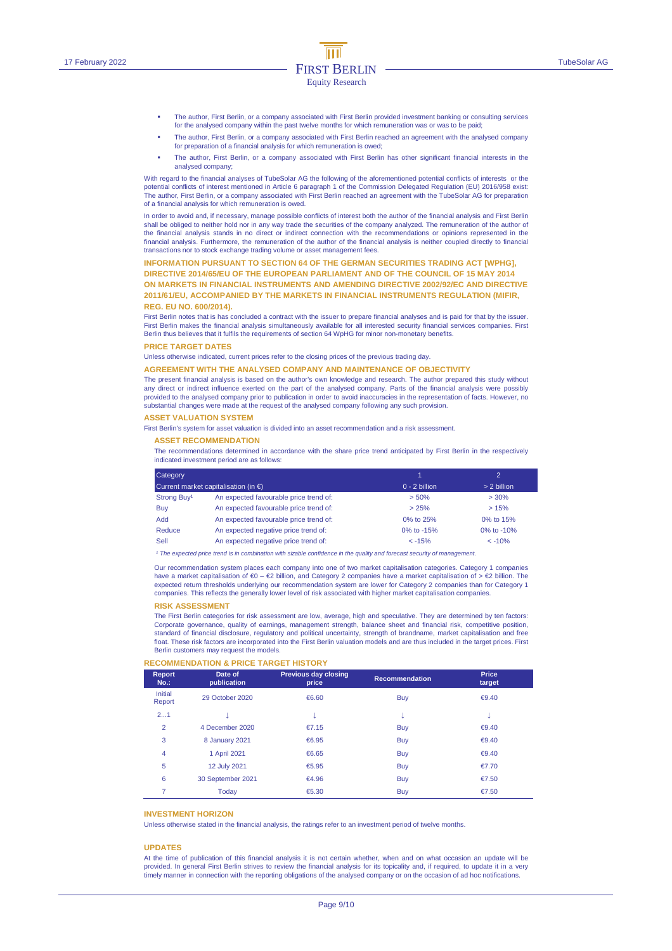- The author, First Berlin, or a company associated with First Berlin provided investment banking or consulting services for the analysed company within the past twelve months for which remuneration was or was to be paid;
- The author, First Berlin, or a company associated with First Berlin reached an agreement with the analysed company for preparation of a financial analysis for which remuneration is owed;
- The author, First Berlin, or a company associated with First Berlin has other significant financial interests in the analysed company;

With regard to the financial analyses of TubeSolar AG the following of the aforementioned potential conflicts of interests or the potential conflicts of interest mentioned in Article 6 paragraph 1 of the Commission Delegated Regulation (EU) 2016/958 exist: The author, First Berlin, or a company associated with First Berlin reached an agreement with the TubeSolar AG for preparation of a financial analysis for which remuneration is owed.

In order to avoid and, if necessary, manage possible conflicts of interest both the author of the financial analysis and First Berlin shall be obliged to neither hold nor in any way trade the securities of the company analyzed. The remuneration of the author of<br>the financial analysis stands in no direct or indirect connection with the recommendations or financial analysis. Furthermore, the remuneration of the author of the financial analysis is neither coupled directly to financial transactions nor to stock exchange trading volume or asset management fees.

#### **INFORMATION PURSUANT TO SECTION 64 OF THE GERMAN SECURITIES TRADING ACT [WPHG],**

**DIRECTIVE 2014/65/EU OF THE EUROPEAN PARLIAMENT AND OF THE COUNCIL OF 15 MAY 2014 ON MARKETS IN FINANCIAL INSTRUMENTS AND AMENDING DIRECTIVE 2002/92/EC AND DIRECTIVE 2011/61/EU, ACCOMPANIED BY THE MARKETS IN FINANCIAL INSTRUMENTS REGULATION (MIFIR, REG. EU NO. 600/2014).** 

First Berlin notes that is has concluded a contract with the issuer to prepare financial analyses and is paid for that by the issuer. First Berlin makes the financial analysis simultaneously available for all interested security financial services companies. First Berlin thus believes that it fulfils the requirements of section 64 WpHG for minor non-monetary benefits.

#### **PRICE TARGET DATES**

Unless otherwise indicated, current prices refer to the closing prices of the previous trading day.

#### **AGREEMENT WITH THE ANALYSED COMPANY AND MAINTENANCE OF OBJECTIVITY**

The present financial analysis is based on the author's own knowledge and research. The author prepared this study without any direct or indirect influence exerted on the part of the analysed company. Parts of the financial analysis were possibly provided to the analysed company prior to publication in order to avoid inaccuracies in the representation of facts. However, no substantial changes were made at the request of the analysed company following any such provision.

#### **ASSET VALUATION SYSTEM**

First Berlin's system for asset valuation is divided into an asset recommendation and a risk assessment.

#### **ASSET RECOMMENDATION**

The recommendations determined in accordance with the share price trend anticipated by First Berlin in the respectively indicated investment period are as follows:

| Category<br>Current market capitalisation (in $\epsilon$ ) |                                        |                 | $\mathcal{D}$<br>> 2 billion |  |
|------------------------------------------------------------|----------------------------------------|-----------------|------------------------------|--|
|                                                            |                                        | $0 - 2$ billion |                              |  |
| Strong Buy <sup>1</sup>                                    | An expected favourable price trend of: | > 50%           | $> 30\%$                     |  |
| Buy                                                        | An expected favourable price trend of: | > 25%           | >15%                         |  |
| <b>hbA</b>                                                 | An expected favourable price trend of: | 0% to 25%       | 0% to 15%                    |  |
| Reduce                                                     | An expected negative price trend of:   | 0% to -15%      | 0% to $-10%$                 |  |
| Sell                                                       | An expected negative price trend of:   | $< -15%$        | $< -10%$                     |  |

<sup>1</sup> The expected price trend is in combination with sizable confidence in the quality and forecast security of managen

Our recommendation system places each company into one of two market capitalisation categories. Category 1 companies have a market capitalisation of €0 – €2 billion, and Category 2 companies have a market capitalisation of > €2 billion. The expected return thresholds underlying our recommendation system are lower for Category 2 companies than for Category 1 companies. This reflects the generally lower level of risk associated with higher market capitalisation companies.

#### **RISK ASSESSMENT**

The First Berlin categories for risk assessment are low, average, high and speculative. They are determined by ten factors: Corporate governance, quality of earnings, management strength, balance sheet and financial risk, competitive position, standard of financial disclosure, regulatory and political uncertainty, strength of brandname, market capitalisation and free float. These risk factors are incorporated into the First Berlin valuation models and are thus included in the target prices. First Berlin customers may request the models.

#### **RECOMMENDATION & PRICE TARGET HISTORY**

| <b>Report</b><br>$No.$ : | Date of<br>publication | <b>Previous day closing</b><br>price | <b>Recommendation</b> | Price<br>target |
|--------------------------|------------------------|--------------------------------------|-----------------------|-----------------|
| Initial<br>Report        | 29 October 2020        | €6.60                                | Buy                   | € $9.40$        |
| 21                       |                        | v                                    | s                     | ÷               |
| $\overline{2}$           | 4 December 2020        | €7.15                                | Buy                   | €9.40           |
| 3                        | 8 January 2021         | €6.95                                | Buy                   | €9.40           |
| 4                        | 1 April 2021           | €6.65                                | Buy                   | €9.40           |
| 5                        | 12 July 2021           | €5.95                                | Buy                   | €7.70           |
| 6                        | 30 September 2021      | €4.96                                | Buy                   | €7.50           |
| 7                        | Today                  | €5.30                                | Buy                   | €7.50           |

#### **INVESTMENT HORIZON**

Unless otherwise stated in the financial analysis, the ratings refer to an investment period of twelve months.

#### **UPDATES**

At the time of publication of this financial analysis it is not certain whether, when and on what occasion an update will be provided. In general First Berlin strives to review the financial analysis for its topicality and, if required, to update it in a very timely manner in connection with the reporting obligations of the analysed company or on the occasion of ad hoc notifications.